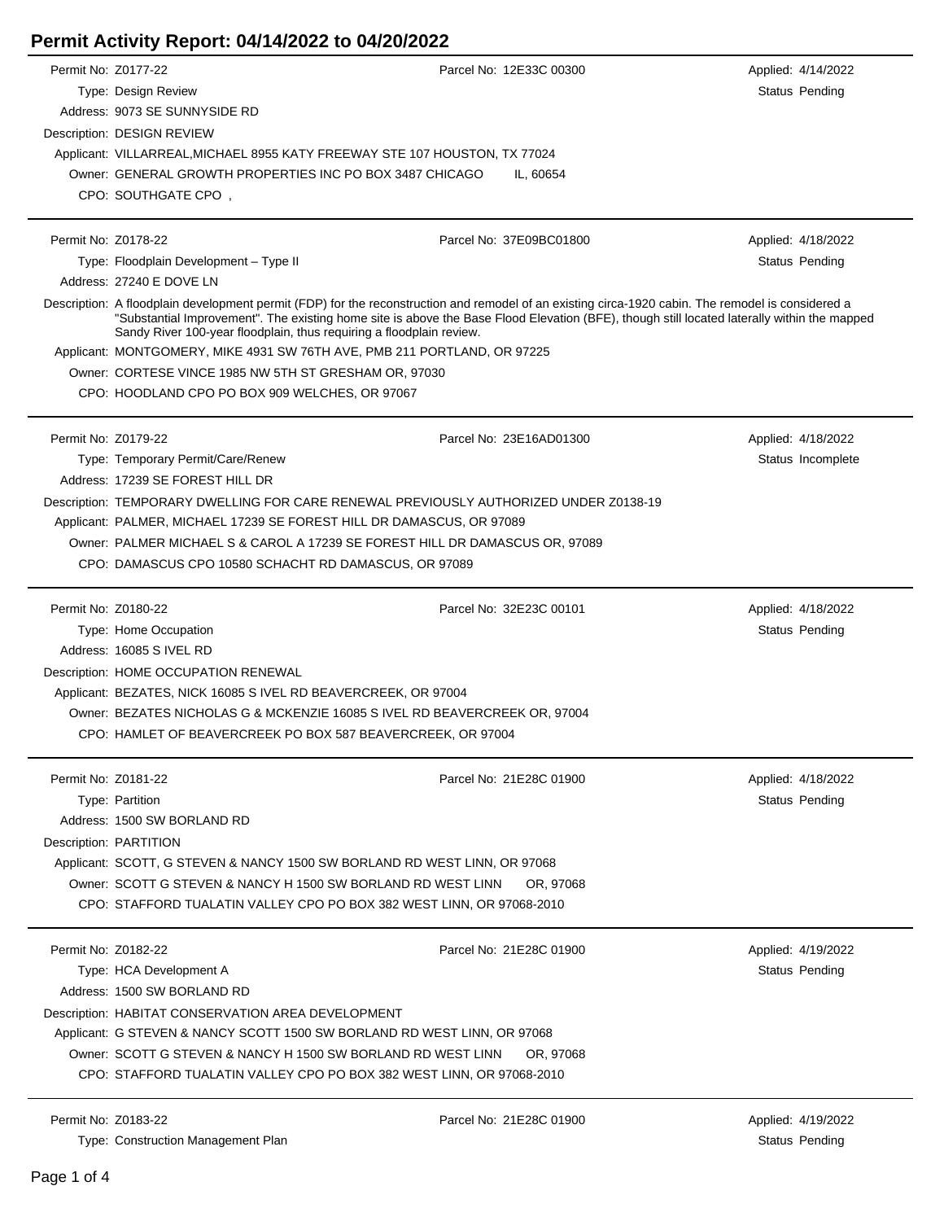| Permit Activity Report: 04/14/2022 to 04/20/2022 |  |
|--------------------------------------------------|--|
|--------------------------------------------------|--|

| Permit No: Z0177-22 |                                                                            | Parcel No: 12E33C 00300                                                                                                                                                                                                                                                                           | Applied: 4/14/2022 |
|---------------------|----------------------------------------------------------------------------|---------------------------------------------------------------------------------------------------------------------------------------------------------------------------------------------------------------------------------------------------------------------------------------------------|--------------------|
|                     | Type: Design Review                                                        |                                                                                                                                                                                                                                                                                                   | Status Pending     |
|                     | Address: 9073 SE SUNNYSIDE RD                                              |                                                                                                                                                                                                                                                                                                   |                    |
|                     | Description: DESIGN REVIEW                                                 |                                                                                                                                                                                                                                                                                                   |                    |
|                     | Applicant: VILLARREAL, MICHAEL 8955 KATY FREEWAY STE 107 HOUSTON, TX 77024 |                                                                                                                                                                                                                                                                                                   |                    |
|                     | Owner: GENERAL GROWTH PROPERTIES INC PO BOX 3487 CHICAGO                   | IL, 60654                                                                                                                                                                                                                                                                                         |                    |
|                     | CPO: SOUTHGATE CPO,                                                        |                                                                                                                                                                                                                                                                                                   |                    |
|                     |                                                                            |                                                                                                                                                                                                                                                                                                   |                    |
| Permit No: Z0178-22 |                                                                            | Parcel No: 37E09BC01800                                                                                                                                                                                                                                                                           | Applied: 4/18/2022 |
|                     | Type: Floodplain Development - Type II                                     |                                                                                                                                                                                                                                                                                                   | Status Pending     |
|                     | Address: 27240 E DOVE LN                                                   |                                                                                                                                                                                                                                                                                                   |                    |
|                     | Sandy River 100-year floodplain, thus requiring a floodplain review.       | Description: A floodplain development permit (FDP) for the reconstruction and remodel of an existing circa-1920 cabin. The remodel is considered a<br>"Substantial Improvement". The existing home site is above the Base Flood Elevation (BFE), though still located laterally within the mapped |                    |
|                     | Applicant: MONTGOMERY, MIKE 4931 SW 76TH AVE, PMB 211 PORTLAND, OR 97225   |                                                                                                                                                                                                                                                                                                   |                    |
|                     | Owner: CORTESE VINCE 1985 NW 5TH ST GRESHAM OR, 97030                      |                                                                                                                                                                                                                                                                                                   |                    |
|                     | CPO: HOODLAND CPO PO BOX 909 WELCHES, OR 97067                             |                                                                                                                                                                                                                                                                                                   |                    |
| Permit No: Z0179-22 |                                                                            | Parcel No: 23E16AD01300                                                                                                                                                                                                                                                                           |                    |
|                     |                                                                            |                                                                                                                                                                                                                                                                                                   | Applied: 4/18/2022 |
|                     | Type: Temporary Permit/Care/Renew<br>Address: 17239 SE FOREST HILL DR      |                                                                                                                                                                                                                                                                                                   | Status Incomplete  |
|                     |                                                                            |                                                                                                                                                                                                                                                                                                   |                    |
|                     |                                                                            | Description: TEMPORARY DWELLING FOR CARE RENEWAL PREVIOUSLY AUTHORIZED UNDER Z0138-19                                                                                                                                                                                                             |                    |
|                     | Applicant: PALMER, MICHAEL 17239 SE FOREST HILL DR DAMASCUS, OR 97089      |                                                                                                                                                                                                                                                                                                   |                    |
|                     |                                                                            | Owner: PALMER MICHAEL S & CAROL A 17239 SE FOREST HILL DR DAMASCUS OR, 97089                                                                                                                                                                                                                      |                    |
|                     | CPO: DAMASCUS CPO 10580 SCHACHT RD DAMASCUS, OR 97089                      |                                                                                                                                                                                                                                                                                                   |                    |
| Permit No: Z0180-22 |                                                                            | Parcel No: 32E23C 00101                                                                                                                                                                                                                                                                           | Applied: 4/18/2022 |
|                     | Type: Home Occupation                                                      |                                                                                                                                                                                                                                                                                                   | Status Pending     |
|                     | Address: 16085 S IVEL RD                                                   |                                                                                                                                                                                                                                                                                                   |                    |
|                     | Description: HOME OCCUPATION RENEWAL                                       |                                                                                                                                                                                                                                                                                                   |                    |
|                     | Applicant: BEZATES, NICK 16085 S IVEL RD BEAVERCREEK, OR 97004             |                                                                                                                                                                                                                                                                                                   |                    |
|                     |                                                                            | Owner: BEZATES NICHOLAS G & MCKENZIE 16085 S IVEL RD BEAVERCREEK OR, 97004                                                                                                                                                                                                                        |                    |
|                     | CPO: HAMLET OF BEAVERCREEK PO BOX 587 BEAVERCREEK, OR 97004                |                                                                                                                                                                                                                                                                                                   |                    |
| Permit No: Z0181-22 |                                                                            | Parcel No: 21E28C 01900                                                                                                                                                                                                                                                                           | Applied: 4/18/2022 |
|                     | Type: Partition                                                            |                                                                                                                                                                                                                                                                                                   | Status Pending     |
|                     | Address: 1500 SW BORLAND RD                                                |                                                                                                                                                                                                                                                                                                   |                    |
|                     | Description: PARTITION                                                     |                                                                                                                                                                                                                                                                                                   |                    |
|                     | Applicant: SCOTT, G STEVEN & NANCY 1500 SW BORLAND RD WEST LINN, OR 97068  |                                                                                                                                                                                                                                                                                                   |                    |
|                     | Owner: SCOTT G STEVEN & NANCY H 1500 SW BORLAND RD WEST LINN               | OR, 97068                                                                                                                                                                                                                                                                                         |                    |
|                     |                                                                            | CPO: STAFFORD TUALATIN VALLEY CPO PO BOX 382 WEST LINN, OR 97068-2010                                                                                                                                                                                                                             |                    |
|                     |                                                                            |                                                                                                                                                                                                                                                                                                   |                    |
| Permit No: Z0182-22 |                                                                            | Parcel No: 21E28C 01900                                                                                                                                                                                                                                                                           | Applied: 4/19/2022 |
|                     | Type: HCA Development A                                                    |                                                                                                                                                                                                                                                                                                   | Status Pending     |
|                     | Address: 1500 SW BORLAND RD                                                |                                                                                                                                                                                                                                                                                                   |                    |
|                     | Description: HABITAT CONSERVATION AREA DEVELOPMENT                         |                                                                                                                                                                                                                                                                                                   |                    |
|                     | Applicant: G STEVEN & NANCY SCOTT 1500 SW BORLAND RD WEST LINN, OR 97068   |                                                                                                                                                                                                                                                                                                   |                    |
|                     | Owner: SCOTT G STEVEN & NANCY H 1500 SW BORLAND RD WEST LINN               | OR, 97068                                                                                                                                                                                                                                                                                         |                    |
|                     |                                                                            | CPO: STAFFORD TUALATIN VALLEY CPO PO BOX 382 WEST LINN, OR 97068-2010                                                                                                                                                                                                                             |                    |
|                     |                                                                            |                                                                                                                                                                                                                                                                                                   |                    |
| Permit No: Z0183-22 |                                                                            | Parcel No: 21E28C 01900                                                                                                                                                                                                                                                                           | Applied: 4/19/2022 |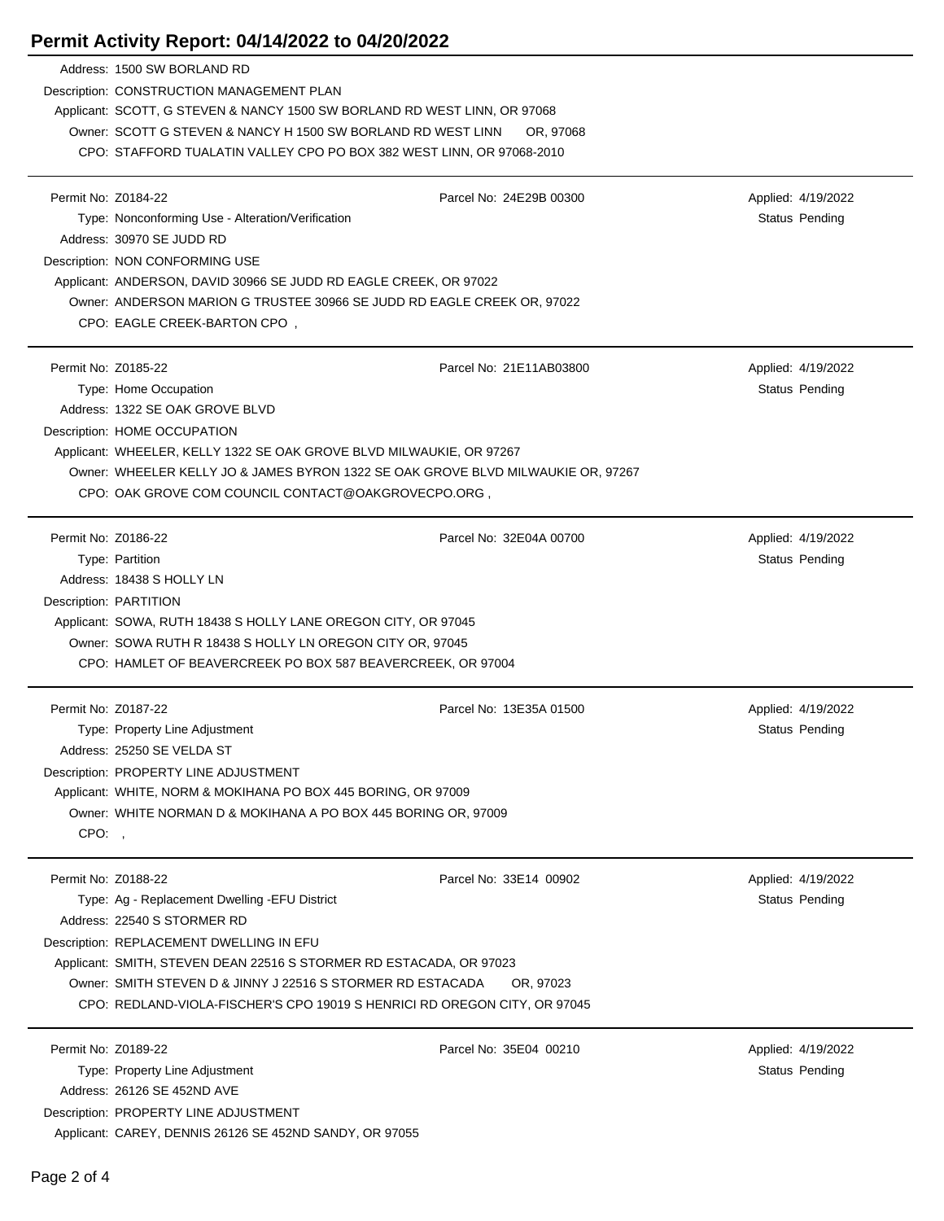## **Permit Activity Report: 04/14/2022 to 04/20/2022**

|                     | Address: 1500 SW BORLAND RD                                                                                                        |                         |                    |
|---------------------|------------------------------------------------------------------------------------------------------------------------------------|-------------------------|--------------------|
|                     | Description: CONSTRUCTION MANAGEMENT PLAN                                                                                          |                         |                    |
|                     | Applicant: SCOTT, G STEVEN & NANCY 1500 SW BORLAND RD WEST LINN, OR 97068                                                          |                         |                    |
|                     | Owner: SCOTT G STEVEN & NANCY H 1500 SW BORLAND RD WEST LINN                                                                       | OR, 97068               |                    |
|                     | CPO: STAFFORD TUALATIN VALLEY CPO PO BOX 382 WEST LINN, OR 97068-2010                                                              |                         |                    |
|                     |                                                                                                                                    |                         |                    |
| Permit No: Z0184-22 |                                                                                                                                    | Parcel No: 24E29B 00300 | Applied: 4/19/2022 |
|                     | Type: Nonconforming Use - Alteration/Verification                                                                                  |                         | Status Pending     |
|                     | Address: 30970 SE JUDD RD                                                                                                          |                         |                    |
|                     | Description: NON CONFORMING USE                                                                                                    |                         |                    |
|                     | Applicant: ANDERSON, DAVID 30966 SE JUDD RD EAGLE CREEK, OR 97022                                                                  |                         |                    |
|                     | Owner: ANDERSON MARION G TRUSTEE 30966 SE JUDD RD EAGLE CREEK OR, 97022                                                            |                         |                    |
|                     | CPO: EAGLE CREEK-BARTON CPO,                                                                                                       |                         |                    |
| Permit No: Z0185-22 |                                                                                                                                    | Parcel No: 21E11AB03800 |                    |
|                     |                                                                                                                                    |                         | Applied: 4/19/2022 |
|                     | Type: Home Occupation                                                                                                              |                         | Status Pending     |
|                     | Address: 1322 SE OAK GROVE BLVD                                                                                                    |                         |                    |
|                     | Description: HOME OCCUPATION                                                                                                       |                         |                    |
|                     | Applicant: WHEELER, KELLY 1322 SE OAK GROVE BLVD MILWAUKIE, OR 97267                                                               |                         |                    |
|                     | Owner: WHEELER KELLY JO & JAMES BYRON 1322 SE OAK GROVE BLVD MILWAUKIE OR, 97267                                                   |                         |                    |
|                     | CPO: OAK GROVE COM COUNCIL CONTACT@OAKGROVECPO.ORG,                                                                                |                         |                    |
| Permit No: Z0186-22 |                                                                                                                                    | Parcel No: 32E04A 00700 | Applied: 4/19/2022 |
|                     | Type: Partition                                                                                                                    |                         | Status Pending     |
|                     | Address: 18438 S HOLLY LN                                                                                                          |                         |                    |
|                     | Description: PARTITION                                                                                                             |                         |                    |
|                     | Applicant: SOWA, RUTH 18438 S HOLLY LANE OREGON CITY, OR 97045                                                                     |                         |                    |
|                     | Owner: SOWA RUTH R 18438 S HOLLY LN OREGON CITY OR, 97045                                                                          |                         |                    |
|                     | CPO: HAMLET OF BEAVERCREEK PO BOX 587 BEAVERCREEK, OR 97004                                                                        |                         |                    |
|                     |                                                                                                                                    |                         |                    |
|                     | Permit No: Z0187-22                                                                                                                | Parcel No: 13E35A 01500 |                    |
|                     |                                                                                                                                    |                         | Applied: 4/19/2022 |
|                     | Type: Property Line Adjustment                                                                                                     |                         | Status Pending     |
|                     | Address: 25250 SE VELDA ST                                                                                                         |                         |                    |
|                     | Description: PROPERTY LINE ADJUSTMENT                                                                                              |                         |                    |
|                     | Applicant: WHITE, NORM & MOKIHANA PO BOX 445 BORING, OR 97009                                                                      |                         |                    |
|                     | Owner: WHITE NORMAN D & MOKIHANA A PO BOX 445 BORING OR, 97009                                                                     |                         |                    |
| CPO:,               |                                                                                                                                    |                         |                    |
|                     |                                                                                                                                    |                         |                    |
| Permit No: Z0188-22 |                                                                                                                                    | Parcel No: 33E14 00902  | Applied: 4/19/2022 |
|                     | Type: Ag - Replacement Dwelling - EFU District                                                                                     |                         | Status Pending     |
|                     | Address: 22540 S STORMER RD                                                                                                        |                         |                    |
|                     | Description: REPLACEMENT DWELLING IN EFU                                                                                           |                         |                    |
|                     | Applicant: SMITH, STEVEN DEAN 22516 S STORMER RD ESTACADA, OR 97023<br>Owner: SMITH STEVEN D & JINNY J 22516 S STORMER RD ESTACADA | OR, 97023               |                    |
|                     | CPO: REDLAND-VIOLA-FISCHER'S CPO 19019 S HENRICI RD OREGON CITY, OR 97045                                                          |                         |                    |
|                     |                                                                                                                                    |                         |                    |
| Permit No: Z0189-22 |                                                                                                                                    | Parcel No: 35E04 00210  | Applied: 4/19/2022 |
|                     | Type: Property Line Adjustment                                                                                                     |                         | Status Pending     |
|                     | Address: 26126 SE 452ND AVE                                                                                                        |                         |                    |
|                     | Description: PROPERTY LINE ADJUSTMENT<br>Applicant: CAREY, DENNIS 26126 SE 452ND SANDY, OR 97055                                   |                         |                    |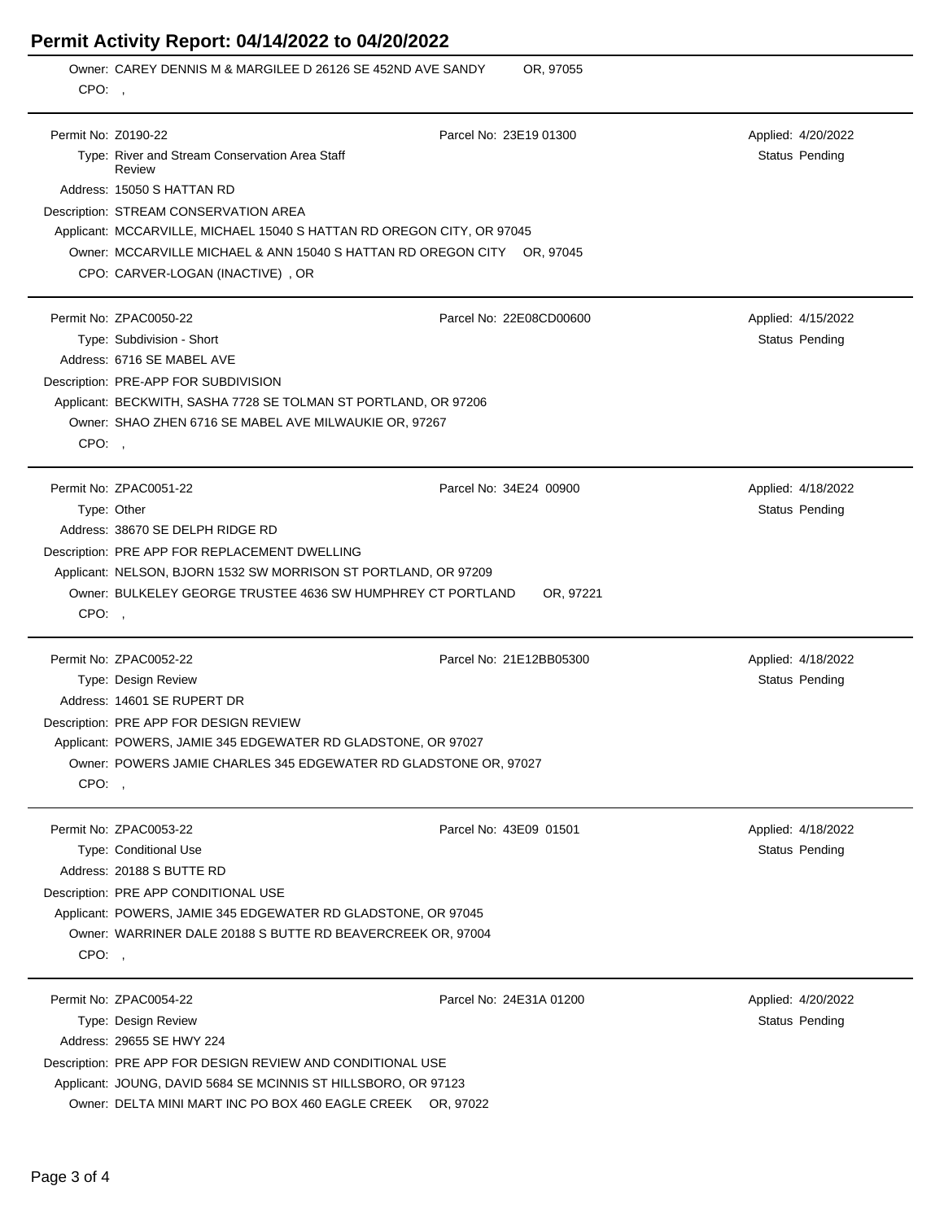## **Permit Activity Report: 04/14/2022 to 04/20/2022**

|                     | Permit Activity Report: 04/14/2022 to 04/20/2022                                                                                                                                                                                                                          |                                     |                                      |
|---------------------|---------------------------------------------------------------------------------------------------------------------------------------------------------------------------------------------------------------------------------------------------------------------------|-------------------------------------|--------------------------------------|
| CPO:                | Owner: CAREY DENNIS M & MARGILEE D 26126 SE 452ND AVE SANDY                                                                                                                                                                                                               | OR, 97055                           |                                      |
| Permit No: Z0190-22 | Type: River and Stream Conservation Area Staff<br>Review<br>Address: 15050 S HATTAN RD                                                                                                                                                                                    | Parcel No: 23E19 01300              | Applied: 4/20/2022<br>Status Pending |
|                     | Description: STREAM CONSERVATION AREA<br>Applicant: MCCARVILLE, MICHAEL 15040 S HATTAN RD OREGON CITY, OR 97045<br>Owner: MCCARVILLE MICHAEL & ANN 15040 S HATTAN RD OREGON CITY OR, 97045<br>CPO: CARVER-LOGAN (INACTIVE), OR                                            |                                     |                                      |
| CPO:,               | Permit No: ZPAC0050-22<br>Type: Subdivision - Short<br>Address: 6716 SE MABEL AVE<br>Description: PRE-APP FOR SUBDIVISION<br>Applicant: BECKWITH, SASHA 7728 SE TOLMAN ST PORTLAND, OR 97206<br>Owner: SHAO ZHEN 6716 SE MABEL AVE MILWAUKIE OR, 97267                    | Parcel No: 22E08CD00600             | Applied: 4/15/2022<br>Status Pending |
| CPO:,               | Permit No: ZPAC0051-22<br>Type: Other<br>Address: 38670 SE DELPH RIDGE RD<br>Description: PRE APP FOR REPLACEMENT DWELLING<br>Applicant: NELSON, BJORN 1532 SW MORRISON ST PORTLAND, OR 97209<br>Owner: BULKELEY GEORGE TRUSTEE 4636 SW HUMPHREY CT PORTLAND              | Parcel No: 34E24 00900<br>OR, 97221 | Applied: 4/18/2022<br>Status Pending |
| CPO:,               | Permit No: ZPAC0052-22<br>Type: Design Review<br>Address: 14601 SE RUPERT DR<br>Description: PRE APP FOR DESIGN REVIEW<br>Applicant: POWERS, JAMIE 345 EDGEWATER RD GLADSTONE, OR 97027<br>Owner: POWERS JAMIE CHARLES 345 EDGEWATER RD GLADSTONE OR, 97027               | Parcel No: 21E12BB05300             | Applied: 4/18/2022<br>Status Pending |
| CPO:,               | Permit No: ZPAC0053-22<br>Type: Conditional Use<br>Address: 20188 S BUTTE RD<br>Description: PRE APP CONDITIONAL USE<br>Applicant: POWERS, JAMIE 345 EDGEWATER RD GLADSTONE, OR 97045<br>Owner: WARRINER DALE 20188 S BUTTE RD BEAVERCREEK OR, 97004                      | Parcel No: 43E09 01501              | Applied: 4/18/2022<br>Status Pending |
|                     | Permit No: ZPAC0054-22<br>Type: Design Review<br>Address: 29655 SE HWY 224<br>Description: PRE APP FOR DESIGN REVIEW AND CONDITIONAL USE<br>Applicant: JOUNG, DAVID 5684 SE MCINNIS ST HILLSBORO, OR 97123<br>Owner: DELTA MINI MART INC PO BOX 460 EAGLE CREEK OR, 97022 | Parcel No: 24E31A 01200             | Applied: 4/20/2022<br>Status Pending |